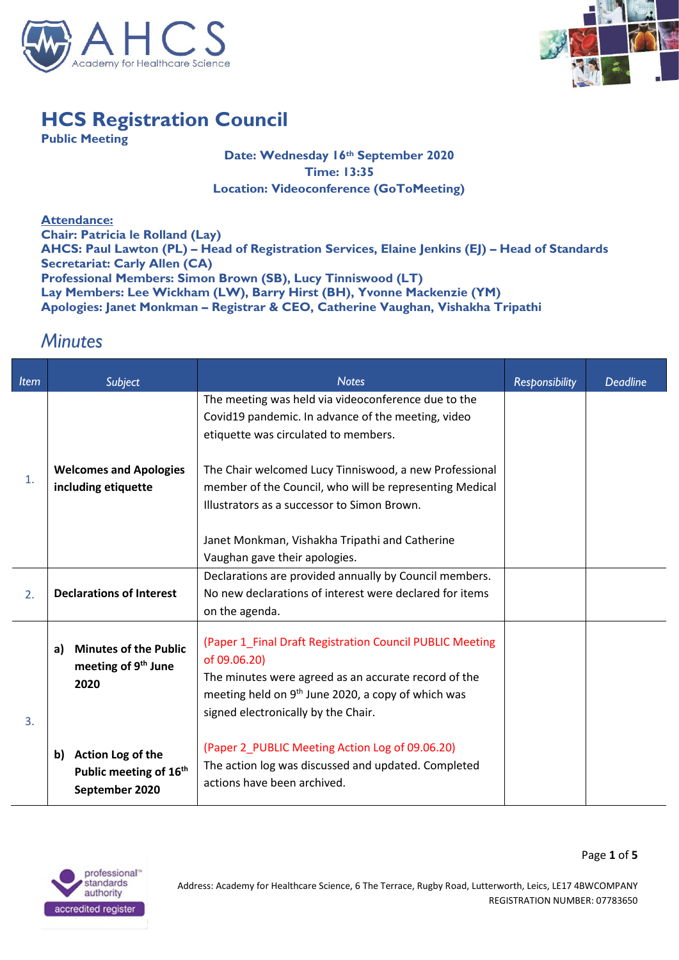



## **HCS Registration Council**

**Public Meeting**

## **Date: Wednesday 16th September 2020 Time: 13:35 Location: Videoconference (GoToMeeting)**

**Attendance: Chair: Patricia le Rolland (Lay) AHCS: Paul Lawton (PL) – Head of Registration Services, Elaine Jenkins (EJ) – Head of Standards Secretariat: Carly Allen (CA) Professional Members: Simon Brown (SB), Lucy Tinniswood (LT) Lay Members: Lee Wickham (LW), Barry Hirst (BH), Yvonne Mackenzie (YM) Apologies: Janet Monkman – Registrar & CEO, Catherine Vaughan, Vishakha Tripathi**

## *Minutes*

| <b>Item</b>    | Subject                                                                         | <b>Notes</b>                                                                                                                                                                                                                              | <b>Responsibility</b> | <b>Deadline</b> |
|----------------|---------------------------------------------------------------------------------|-------------------------------------------------------------------------------------------------------------------------------------------------------------------------------------------------------------------------------------------|-----------------------|-----------------|
| $\mathbf{1}$ . |                                                                                 | The meeting was held via videoconference due to the<br>Covid19 pandemic. In advance of the meeting, video<br>etiquette was circulated to members.                                                                                         |                       |                 |
|                | <b>Welcomes and Apologies</b><br>including etiquette                            | The Chair welcomed Lucy Tinniswood, a new Professional<br>member of the Council, who will be representing Medical<br>Illustrators as a successor to Simon Brown.                                                                          |                       |                 |
|                |                                                                                 | Janet Monkman, Vishakha Tripathi and Catherine<br>Vaughan gave their apologies.                                                                                                                                                           |                       |                 |
| 2.             | <b>Declarations of Interest</b>                                                 | Declarations are provided annually by Council members.<br>No new declarations of interest were declared for items<br>on the agenda.                                                                                                       |                       |                 |
| 3.             | <b>Minutes of the Public</b><br>a)<br>meeting of 9 <sup>th</sup> June<br>2020   | (Paper 1 Final Draft Registration Council PUBLIC Meeting<br>of 09.06.20)<br>The minutes were agreed as an accurate record of the<br>meeting held on 9 <sup>th</sup> June 2020, a copy of which was<br>signed electronically by the Chair. |                       |                 |
|                | Action Log of the<br>b)<br>Public meeting of 16 <sup>th</sup><br>September 2020 | (Paper 2_PUBLIC Meeting Action Log of 09.06.20)<br>The action log was discussed and updated. Completed<br>actions have been archived.                                                                                                     |                       |                 |

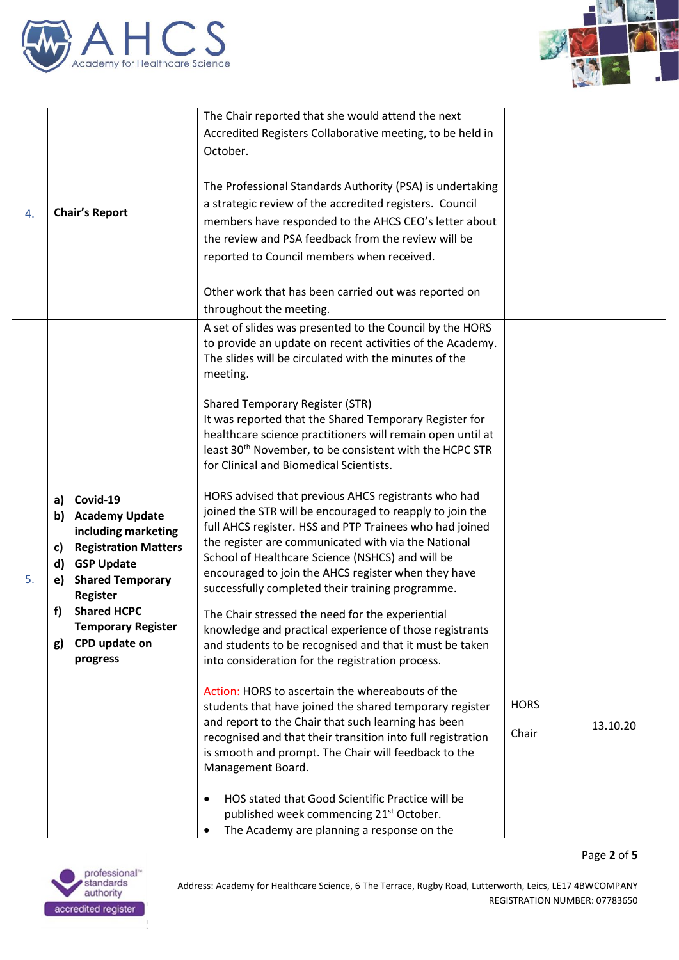



Page **2** of **5**

|    |                                            | The Chair reported that she would attend the next                                                                    |             |          |
|----|--------------------------------------------|----------------------------------------------------------------------------------------------------------------------|-------------|----------|
|    |                                            | Accredited Registers Collaborative meeting, to be held in                                                            |             |          |
|    |                                            | October.                                                                                                             |             |          |
|    |                                            |                                                                                                                      |             |          |
|    |                                            | The Professional Standards Authority (PSA) is undertaking                                                            |             |          |
|    |                                            | a strategic review of the accredited registers. Council                                                              |             |          |
| 4. | <b>Chair's Report</b>                      | members have responded to the AHCS CEO's letter about                                                                |             |          |
|    |                                            | the review and PSA feedback from the review will be                                                                  |             |          |
|    |                                            | reported to Council members when received.                                                                           |             |          |
|    |                                            |                                                                                                                      |             |          |
|    |                                            | Other work that has been carried out was reported on                                                                 |             |          |
|    |                                            | throughout the meeting.                                                                                              |             |          |
|    |                                            | A set of slides was presented to the Council by the HORS                                                             |             |          |
|    |                                            | to provide an update on recent activities of the Academy.                                                            |             |          |
|    |                                            | The slides will be circulated with the minutes of the                                                                |             |          |
|    |                                            | meeting.                                                                                                             |             |          |
|    |                                            |                                                                                                                      |             |          |
|    |                                            | <b>Shared Temporary Register (STR)</b>                                                                               |             |          |
|    |                                            | It was reported that the Shared Temporary Register for<br>healthcare science practitioners will remain open until at |             |          |
|    |                                            | least 30 <sup>th</sup> November, to be consistent with the HCPC STR                                                  |             |          |
|    |                                            | for Clinical and Biomedical Scientists.                                                                              |             |          |
|    |                                            |                                                                                                                      |             |          |
|    | a) Covid-19                                | HORS advised that previous AHCS registrants who had                                                                  |             |          |
|    | b) Academy Update                          | joined the STR will be encouraged to reapply to join the                                                             |             |          |
|    | including marketing                        | full AHCS register. HSS and PTP Trainees who had joined                                                              |             |          |
|    | <b>Registration Matters</b><br>c)          | the register are communicated with via the National                                                                  |             |          |
|    | <b>GSP Update</b><br>d)                    | School of Healthcare Science (NSHCS) and will be<br>encouraged to join the AHCS register when they have              |             |          |
| 5. | <b>Shared Temporary</b><br>e)              | successfully completed their training programme.                                                                     |             |          |
|    | <b>Register</b>                            |                                                                                                                      |             |          |
|    | <b>Shared HCPC</b><br>f)                   | The Chair stressed the need for the experiential                                                                     |             |          |
|    | <b>Temporary Register</b><br>CPD update on | knowledge and practical experience of those registrants                                                              |             |          |
|    | g)<br>progress                             | and students to be recognised and that it must be taken<br>into consideration for the registration process.          |             |          |
|    |                                            |                                                                                                                      |             |          |
|    |                                            | Action: HORS to ascertain the whereabouts of the                                                                     |             |          |
|    |                                            | students that have joined the shared temporary register                                                              | <b>HORS</b> |          |
|    |                                            | and report to the Chair that such learning has been                                                                  |             | 13.10.20 |
|    |                                            | recognised and that their transition into full registration                                                          | Chair       |          |
|    |                                            | is smooth and prompt. The Chair will feedback to the                                                                 |             |          |
|    |                                            | Management Board.                                                                                                    |             |          |
|    |                                            | HOS stated that Good Scientific Practice will be<br>$\bullet$                                                        |             |          |
|    |                                            | published week commencing 21 <sup>st</sup> October.                                                                  |             |          |
|    |                                            | The Academy are planning a response on the                                                                           |             |          |

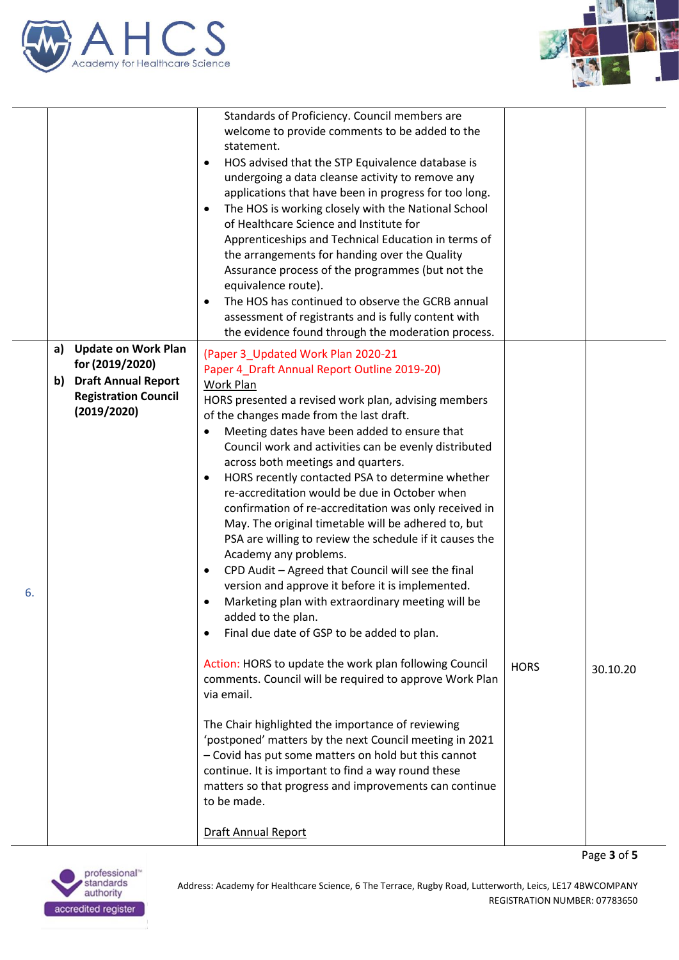



|    |    |                                                       | Standards of Proficiency. Council members are<br>welcome to provide comments to be added to the<br>statement.<br>HOS advised that the STP Equivalence database is<br>$\bullet$<br>undergoing a data cleanse activity to remove any<br>applications that have been in progress for too long.<br>The HOS is working closely with the National School<br>$\bullet$<br>of Healthcare Science and Institute for<br>Apprenticeships and Technical Education in terms of<br>the arrangements for handing over the Quality<br>Assurance process of the programmes (but not the<br>equivalence route).<br>The HOS has continued to observe the GCRB annual<br>$\bullet$<br>assessment of registrants and is fully content with<br>the evidence found through the moderation process. |             |          |
|----|----|-------------------------------------------------------|-----------------------------------------------------------------------------------------------------------------------------------------------------------------------------------------------------------------------------------------------------------------------------------------------------------------------------------------------------------------------------------------------------------------------------------------------------------------------------------------------------------------------------------------------------------------------------------------------------------------------------------------------------------------------------------------------------------------------------------------------------------------------------|-------------|----------|
|    | a) | <b>Update on Work Plan</b>                            | (Paper 3_Updated Work Plan 2020-21                                                                                                                                                                                                                                                                                                                                                                                                                                                                                                                                                                                                                                                                                                                                          |             |          |
|    |    | for (2019/2020)                                       | Paper 4_Draft Annual Report Outline 2019-20)                                                                                                                                                                                                                                                                                                                                                                                                                                                                                                                                                                                                                                                                                                                                |             |          |
|    |    | b) Draft Annual Report<br><b>Registration Council</b> | Work Plan                                                                                                                                                                                                                                                                                                                                                                                                                                                                                                                                                                                                                                                                                                                                                                   |             |          |
|    |    | (2019/2020)                                           | HORS presented a revised work plan, advising members<br>of the changes made from the last draft.                                                                                                                                                                                                                                                                                                                                                                                                                                                                                                                                                                                                                                                                            |             |          |
|    |    |                                                       | Meeting dates have been added to ensure that<br>$\bullet$                                                                                                                                                                                                                                                                                                                                                                                                                                                                                                                                                                                                                                                                                                                   |             |          |
|    |    |                                                       | Council work and activities can be evenly distributed                                                                                                                                                                                                                                                                                                                                                                                                                                                                                                                                                                                                                                                                                                                       |             |          |
|    |    |                                                       | across both meetings and quarters.<br>HORS recently contacted PSA to determine whether<br>$\bullet$                                                                                                                                                                                                                                                                                                                                                                                                                                                                                                                                                                                                                                                                         |             |          |
|    |    |                                                       | re-accreditation would be due in October when                                                                                                                                                                                                                                                                                                                                                                                                                                                                                                                                                                                                                                                                                                                               |             |          |
|    |    |                                                       | confirmation of re-accreditation was only received in                                                                                                                                                                                                                                                                                                                                                                                                                                                                                                                                                                                                                                                                                                                       |             |          |
|    |    |                                                       | May. The original timetable will be adhered to, but<br>PSA are willing to review the schedule if it causes the                                                                                                                                                                                                                                                                                                                                                                                                                                                                                                                                                                                                                                                              |             |          |
|    |    |                                                       | Academy any problems.                                                                                                                                                                                                                                                                                                                                                                                                                                                                                                                                                                                                                                                                                                                                                       |             |          |
|    |    |                                                       | CPD Audit - Agreed that Council will see the final<br>$\bullet$                                                                                                                                                                                                                                                                                                                                                                                                                                                                                                                                                                                                                                                                                                             |             |          |
| 6. |    |                                                       | version and approve it before it is implemented.<br>Marketing plan with extraordinary meeting will be<br>$\bullet$                                                                                                                                                                                                                                                                                                                                                                                                                                                                                                                                                                                                                                                          |             |          |
|    |    |                                                       | added to the plan.                                                                                                                                                                                                                                                                                                                                                                                                                                                                                                                                                                                                                                                                                                                                                          |             |          |
|    |    |                                                       | Final due date of GSP to be added to plan.<br>$\bullet$                                                                                                                                                                                                                                                                                                                                                                                                                                                                                                                                                                                                                                                                                                                     |             |          |
|    |    |                                                       | Action: HORS to update the work plan following Council                                                                                                                                                                                                                                                                                                                                                                                                                                                                                                                                                                                                                                                                                                                      | <b>HORS</b> |          |
|    |    |                                                       | comments. Council will be required to approve Work Plan                                                                                                                                                                                                                                                                                                                                                                                                                                                                                                                                                                                                                                                                                                                     |             | 30.10.20 |
|    |    |                                                       | via email.                                                                                                                                                                                                                                                                                                                                                                                                                                                                                                                                                                                                                                                                                                                                                                  |             |          |
|    |    |                                                       | The Chair highlighted the importance of reviewing                                                                                                                                                                                                                                                                                                                                                                                                                                                                                                                                                                                                                                                                                                                           |             |          |
|    |    |                                                       | 'postponed' matters by the next Council meeting in 2021                                                                                                                                                                                                                                                                                                                                                                                                                                                                                                                                                                                                                                                                                                                     |             |          |
|    |    |                                                       | - Covid has put some matters on hold but this cannot<br>continue. It is important to find a way round these                                                                                                                                                                                                                                                                                                                                                                                                                                                                                                                                                                                                                                                                 |             |          |
|    |    |                                                       | matters so that progress and improvements can continue                                                                                                                                                                                                                                                                                                                                                                                                                                                                                                                                                                                                                                                                                                                      |             |          |
|    |    |                                                       | to be made.                                                                                                                                                                                                                                                                                                                                                                                                                                                                                                                                                                                                                                                                                                                                                                 |             |          |
|    |    |                                                       | <b>Draft Annual Report</b>                                                                                                                                                                                                                                                                                                                                                                                                                                                                                                                                                                                                                                                                                                                                                  |             |          |
|    |    |                                                       |                                                                                                                                                                                                                                                                                                                                                                                                                                                                                                                                                                                                                                                                                                                                                                             |             |          |

Page **3** of **5**

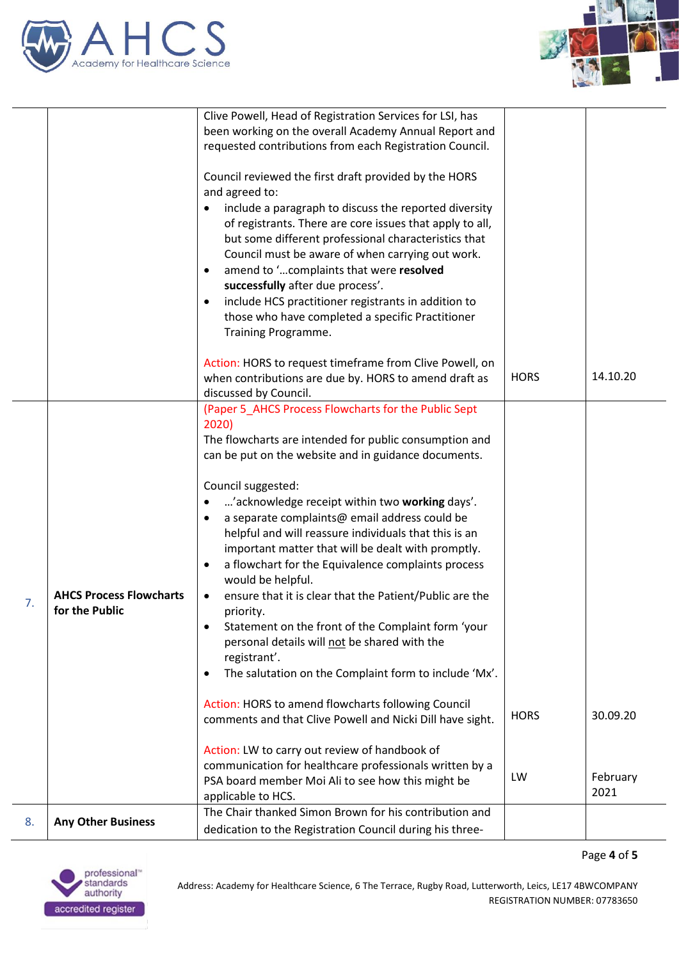



|    |                                                  | Clive Powell, Head of Registration Services for LSI, has                                                                         |             |          |
|----|--------------------------------------------------|----------------------------------------------------------------------------------------------------------------------------------|-------------|----------|
|    |                                                  | been working on the overall Academy Annual Report and                                                                            |             |          |
|    |                                                  | requested contributions from each Registration Council.                                                                          |             |          |
|    |                                                  | Council reviewed the first draft provided by the HORS<br>and agreed to:<br>include a paragraph to discuss the reported diversity |             |          |
|    |                                                  | of registrants. There are core issues that apply to all,                                                                         |             |          |
|    |                                                  | but some different professional characteristics that                                                                             |             |          |
|    |                                                  | Council must be aware of when carrying out work.                                                                                 |             |          |
|    |                                                  | amend to 'complaints that were resolved<br>$\bullet$                                                                             |             |          |
|    |                                                  | successfully after due process'.                                                                                                 |             |          |
|    |                                                  | include HCS practitioner registrants in addition to                                                                              |             |          |
|    |                                                  | those who have completed a specific Practitioner                                                                                 |             |          |
|    |                                                  | Training Programme.                                                                                                              |             |          |
|    |                                                  | Action: HORS to request timeframe from Clive Powell, on                                                                          |             |          |
|    |                                                  | when contributions are due by. HORS to amend draft as                                                                            | <b>HORS</b> | 14.10.20 |
|    |                                                  | discussed by Council.                                                                                                            |             |          |
|    |                                                  | (Paper 5_AHCS Process Flowcharts for the Public Sept                                                                             |             |          |
|    |                                                  | 2020)                                                                                                                            |             |          |
|    |                                                  | The flowcharts are intended for public consumption and                                                                           |             |          |
|    |                                                  | can be put on the website and in guidance documents.                                                                             |             |          |
|    |                                                  | Council suggested:                                                                                                               |             |          |
|    |                                                  | 'acknowledge receipt within two working days'.                                                                                   |             |          |
|    |                                                  | a separate complaints@ email address could be<br>$\bullet$                                                                       |             |          |
|    |                                                  | helpful and will reassure individuals that this is an                                                                            |             |          |
|    |                                                  | important matter that will be dealt with promptly.                                                                               |             |          |
|    | <b>AHCS Process Flowcharts</b><br>for the Public | a flowchart for the Equivalence complaints process<br>$\bullet$                                                                  |             |          |
|    |                                                  | would be helpful.                                                                                                                |             |          |
| 7. |                                                  | ensure that it is clear that the Patient/Public are the                                                                          |             |          |
|    |                                                  | priority.<br>Statement on the front of the Complaint form 'your<br>$\bullet$                                                     |             |          |
|    |                                                  | personal details will not be shared with the                                                                                     |             |          |
|    |                                                  | registrant'.                                                                                                                     |             |          |
|    |                                                  | The salutation on the Complaint form to include 'Mx'.<br>٠                                                                       |             |          |
|    |                                                  |                                                                                                                                  |             |          |
|    |                                                  | Action: HORS to amend flowcharts following Council                                                                               | <b>HORS</b> | 30.09.20 |
|    |                                                  | comments and that Clive Powell and Nicki Dill have sight.                                                                        |             |          |
|    |                                                  | Action: LW to carry out review of handbook of                                                                                    |             |          |
|    |                                                  | communication for healthcare professionals written by a                                                                          |             |          |
|    |                                                  | PSA board member Moi Ali to see how this might be                                                                                | LW          | February |
|    |                                                  | applicable to HCS.                                                                                                               |             | 2021     |
|    |                                                  | The Chair thanked Simon Brown for his contribution and                                                                           |             |          |
| 8. | <b>Any Other Business</b>                        | dedication to the Registration Council during his three-                                                                         |             |          |

Page **4** of **5**